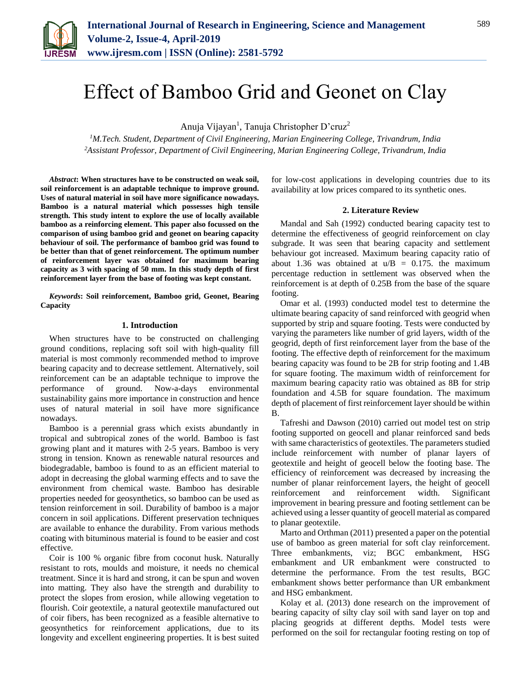

# Effect of Bamboo Grid and Geonet on Clay

Anuja Vijayan<sup>1</sup>, Tanuja Christopher D'cruz<sup>2</sup>

*<sup>1</sup>M.Tech. Student, Department of Civil Engineering, Marian Engineering College, Trivandrum, India 2Assistant Professor, Department of Civil Engineering, Marian Engineering College, Trivandrum, India*

*Abstract***: When structures have to be constructed on weak soil, soil reinforcement is an adaptable technique to improve ground. Uses of natural material in soil have more significance nowadays. Bamboo is a natural material which possesses high tensile strength. This study intent to explore the use of locally available bamboo as a reinforcing element. This paper also focussed on the comparison of using bamboo grid and geonet on bearing capacity behaviour of soil. The performance of bamboo grid was found to be better than that of genet reinforcement. The optimum number of reinforcement layer was obtained for maximum bearing capacity as 3 with spacing of 50 mm. In this study depth of first reinforcement layer from the base of footing was kept constant.**

*Keywords***: Soil reinforcement, Bamboo grid, Geonet, Bearing Capacity**

### **1. Introduction**

When structures have to be constructed on challenging ground conditions, replacing soft soil with high-quality fill material is most commonly recommended method to improve bearing capacity and to decrease settlement. Alternatively, soil reinforcement can be an adaptable technique to improve the performance of ground. Now-a-days environmental sustainability gains more importance in construction and hence uses of natural material in soil have more significance nowadays.

Bamboo is a perennial grass which exists abundantly in tropical and subtropical zones of the world. Bamboo is fast growing plant and it matures with 2-5 years. Bamboo is very strong in tension. Known as renewable natural resources and biodegradable, bamboo is found to as an efficient material to adopt in decreasing the global warming effects and to save the environment from chemical waste. Bamboo has desirable properties needed for geosynthetics, so bamboo can be used as tension reinforcement in soil. Durability of bamboo is a major concern in soil applications. Different preservation techniques are available to enhance the durability. From various methods coating with bituminous material is found to be easier and cost effective.

Coir is 100 % organic fibre from coconut husk. Naturally resistant to rots, moulds and moisture, it needs no chemical treatment. Since it is hard and strong, it can be spun and woven into matting. They also have the strength and durability to protect the slopes from erosion, while allowing vegetation to flourish. [Coir](https://www.sciencedirect.com/topics/earth-and-planetary-sciences/coir) [geotextile,](https://www.sciencedirect.com/topics/earth-and-planetary-sciences/geotextile) a natural geotextile manufactured out of coir fibers, has been recognized as a feasible alternative to geosynthetics for reinforcement applications, due to its longevity and excellent [engineering properties.](https://www.sciencedirect.com/topics/earth-and-planetary-sciences/geotechnical-property) It is best suited

for low-cost applications in developing countries due to its availability at low prices compared to its synthetic ones.

#### **2. Literature Review**

Mandal and Sah (1992) conducted bearing capacity test to determine the effectiveness of geogrid reinforcement on clay subgrade. It was seen that bearing capacity and settlement behaviour got increased. Maximum bearing capacity ratio of about 1.36 was obtained at  $u/B = 0.175$ . the maximum percentage reduction in settlement was observed when the reinforcement is at depth of 0.25B from the base of the square footing.

Omar et al. (1993) conducted model test to determine the ultimate bearing capacity of sand reinforced with geogrid when supported by strip and square footing. Tests were conducted by varying the parameters like number of grid layers, width of the geogrid, depth of first reinforcement layer from the base of the footing. The effective depth of reinforcement for the maximum bearing capacity was found to be 2B for strip footing and 1.4B for square footing. The maximum width of reinforcement for maximum bearing capacity ratio was obtained as 8B for strip foundation and 4.5B for square foundation. The maximum depth of placement of first reinforcement layer should be within B.

Tafreshi and Dawson (2010) carried out model test on strip footing supported on geocell and planar reinforced sand beds with same characteristics of geotextiles. The parameters studied include reinforcement with number of planar layers of geotextile and height of geocell below the footing base. The efficiency of reinforcement was decreased by increasing the number of planar reinforcement layers, the height of geocell reinforcement and reinforcement width. Significant improvement in bearing pressure and footing settlement can be achieved using a lesser quantity of geocell material as compared to planar geotextile.

Marto and Orthman (2011) presented a paper on the potential use of bamboo as green material for soft clay reinforcement. Three embankments, viz; BGC embankment, HSG embankment and UR embankment were constructed to determine the performance. From the test results, BGC embankment shows better performance than UR embankment and HSG embankment.

Kolay et al. (2013) done research on the improvement of bearing capacity of silty clay soil with sand layer on top and placing geogrids at different depths. Model tests were performed on the soil for rectangular footing resting on top of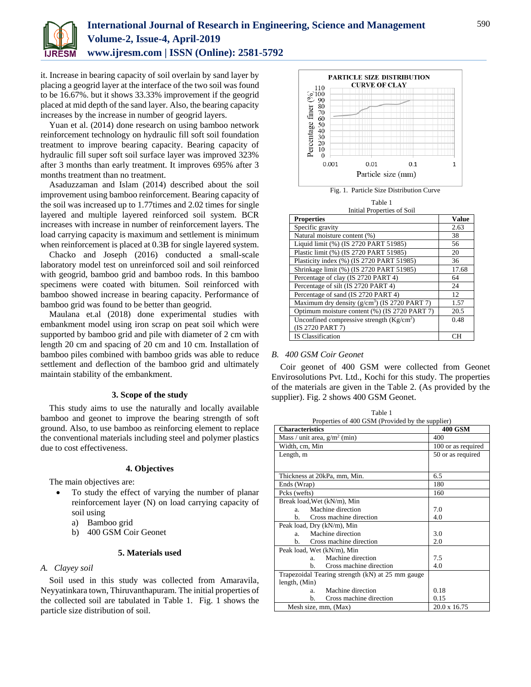

it. Increase in bearing capacity of soil overlain by sand layer by placing a geogrid layer at the interface of the two soil was found to be 16.67%. but it shows 33.33% improvement if the geogrid placed at mid depth of the sand layer. Also, the bearing capacity increases by the increase in number of geogrid layers.

Yuan et al. (2014) done research on using bamboo network reinforcement technology on hydraulic fill soft soil foundation treatment to improve bearing capacity. Bearing capacity of hydraulic fill super soft soil surface layer was improved 323% after 3 months than early treatment. It improves 695% after 3 months treatment than no treatment.

Asaduzzaman and Islam (2014) described about the soil improvement using bamboo reinforcement. Bearing capacity of the soil was increased up to 1.77times and 2.02 times for single layered and multiple layered reinforced soil system. BCR increases with increase in number of reinforcement layers. The load carrying capacity is maximum and settlement is minimum when reinforcement is placed at 0.3B for single layered system.

Chacko and Joseph (2016) conducted a small-scale laboratory model test on unreinforced soil and soil reinforced with geogrid, bamboo grid and bamboo rods. In this bamboo specimens were coated with bitumen. Soil reinforced with bamboo showed increase in bearing capacity. Performance of bamboo grid was found to be better than geogrid.

Maulana et.al (2018) done experimental studies with embankment model using iron scrap on peat soil which were supported by bamboo grid and pile with diameter of 2 cm with length 20 cm and spacing of 20 cm and 10 cm. Installation of bamboo piles combined with bamboo grids was able to reduce settlement and deflection of the bamboo grid and ultimately maintain stability of the embankment.

## **3. Scope of the study**

This study aims to use the naturally and locally available bamboo and geonet to improve the bearing strength of soft ground. Also, to use bamboo as reinforcing element to replace the conventional materials including steel and polymer plastics due to cost effectiveness.

### **4. Objectives**

The main objectives are:

- To study the effect of varying the number of planar reinforcement layer (N) on load carrying capacity of soil using
	- a) Bamboo grid
	- b) 400 GSM Coir Geonet

## **5. Materials used**

## *A. Clayey soil*

Soil used in this study was collected from Amaravila, Neyyatinkara town, Thiruvanthapuram. The initial properties of the collected soil are tabulated in Table 1. Fig. 1 shows the particle size distribution of soil.



Table 1 Initial Properties of Soil

| <b>Properties</b>                               | <b>Value</b> |
|-------------------------------------------------|--------------|
| Specific gravity                                | 2.63         |
| Natural moisture content (%)                    | 38           |
| Liquid limit (%) (IS 2720 PART 51985)           | 56           |
| Plastic limit (%) (IS 2720 PART 51985)          | 20           |
| Plasticity index (%) (IS 2720 PART 51985)       | 36           |
| Shrinkage limit (%) (IS 2720 PART 51985)        | 17.68        |
| Percentage of clay (IS 2720 PART 4)             | 64           |
| Percentage of silt (IS 2720 PART 4)             | 24           |
| Percentage of sand (IS 2720 PART 4)             | 12           |
| Maximum dry density $(g/cm^3)$ (IS 2720 PART 7) | 1.57         |
| Optimum moisture content (%) (IS 2720 PART 7)   | 20.5         |
| Unconfined compressive strength $(Kg/cm2)$      | 0.48         |
| (IS 2720 PART 7)                                |              |
| <b>IS Classification</b>                        | CН           |

### *B. 400 GSM Coir Geonet*

Coir geonet of 400 GSM were collected from Geonet Envirosolutions Pvt. Ltd., Kochi for this study. The properties of the materials are given in the Table 2. (As provided by the supplier). Fig. 2 shows 400 GSM Geonet.

Table 1

| Properties of 400 GSM (Provided by the supplier) |                     |  |
|--------------------------------------------------|---------------------|--|
| <b>Characteristics</b>                           | <b>400 GSM</b>      |  |
| Mass / unit area, $g/m^2$ (min)                  | 400                 |  |
| Width, cm, Min                                   | 100 or as required  |  |
| Length, m                                        | 50 or as required   |  |
|                                                  |                     |  |
|                                                  |                     |  |
| Thickness at 20kPa, mm, Min.                     | 6.5                 |  |
| Ends (Wrap)                                      | 180                 |  |
| Pcks (wefts)                                     | 160                 |  |
| Break load, Wet (kN/m), Min                      |                     |  |
| Machine direction<br>a.                          | 7.0                 |  |
| Cross machine direction<br>b.                    | 4.0                 |  |
| Peak load, Dry (kN/m), Min                       |                     |  |
| Machine direction<br>$a_{-}$                     | 3.0                 |  |
| Cross machine direction<br>h.                    | 2.0                 |  |
| Peak load, Wet (kN/m), Min                       |                     |  |
| Machine direction<br>a.                          | 7.5                 |  |
| Cross machine direction<br>b.                    | 4.0                 |  |
| Trapezoidal Tearing strength (kN) at 25 mm gauge |                     |  |
| length, (Min)                                    |                     |  |
| Machine direction<br>a.                          | 0.18                |  |
| Cross machine direction<br>b.                    | 0.15                |  |
| Mesh size, mm, (Max)                             | $20.0 \times 16.75$ |  |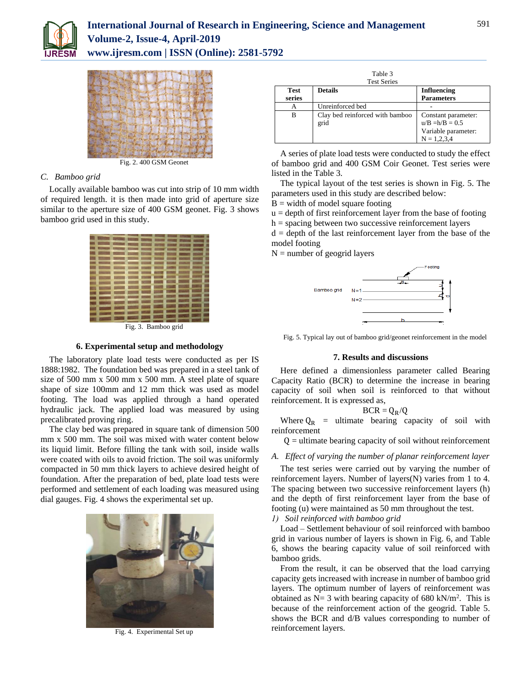



Fig. 2. 400 GSM Geonet

## *C. Bamboo grid*

Locally available bamboo was cut into strip of 10 mm width of required length. it is then made into grid of aperture size similar to the aperture size of 400 GSM geonet. Fig. 3 shows bamboo grid used in this study.



Fig. 3. Bamboo grid

## **6. Experimental setup and methodology**

The laboratory plate load tests were conducted as per IS 1888:1982. The foundation bed was prepared in a steel tank of size of 500 mm x 500 mm x 500 mm. A steel plate of square shape of size 100mm and 12 mm thick was used as model footing. The load was applied through a hand operated hydraulic jack. The applied load was measured by using precalibrated proving ring.

The clay bed was prepared in square tank of dimension 500 mm x 500 mm. The soil was mixed with water content below its liquid limit. Before filling the tank with soil, inside walls were coated with oils to avoid friction. The soil was uniformly compacted in 50 mm thick layers to achieve desired height of foundation. After the preparation of bed, plate load tests were performed and settlement of each loading was measured using dial gauges. Fig. 4 shows the experimental set up.



Fig. 4. Experimental Set up

| Table 3<br><b>Test Series</b> |                                         |                                                                                  |  |
|-------------------------------|-----------------------------------------|----------------------------------------------------------------------------------|--|
| <b>Test</b><br>series         | <b>Details</b>                          | <b>Influencing</b><br><b>Parameters</b>                                          |  |
| А                             | Unreinforced bed                        |                                                                                  |  |
| в                             | Clay bed reinforced with bamboo<br>grid | Constant parameter:<br>$u/B = h/B = 0.5$<br>Variable parameter:<br>$N = 1.2.3.4$ |  |

A series of plate load tests were conducted to study the effect of bamboo grid and 400 GSM Coir Geonet. Test series were listed in the Table 3.

The typical layout of the test series is shown in Fig. 5. The parameters used in this study are described below:

 $B =$  width of model square footing

 $u =$  depth of first reinforcement layer from the base of footing

h = spacing between two successive reinforcement layers

 $d =$  depth of the last reinforcement layer from the base of the model footing

 $N =$  number of geogrid layers



Fig. 5. Typical lay out of bamboo grid/geonet reinforcement in the model

## **7. Results and discussions**

Here defined a dimensionless parameter called Bearing Capacity Ratio (BCR) to determine the increase in bearing capacity of soil when soil is reinforced to that without reinforcement. It is expressed as,

$$
BCR=Q_R/Q
$$

Where  $Q_R$  = ultimate bearing capacity of soil with reinforcement

 $Q =$  ultimate bearing capacity of soil without reinforcement

### *A. Effect of varying the number of planar reinforcement layer*

The test series were carried out by varying the number of reinforcement layers. Number of layers(N) varies from 1 to 4. The spacing between two successive reinforcement layers (h) and the depth of first reinforcement layer from the base of footing (u) were maintained as 50 mm throughout the test.

*1) Soil reinforced with bamboo grid*

Load – Settlement behaviour of soil reinforced with bamboo grid in various number of layers is shown in Fig. 6, and Table 6, shows the bearing capacity value of soil reinforced with bamboo grids.

From the result, it can be observed that the load carrying capacity gets increased with increase in number of bamboo grid layers. The optimum number of layers of reinforcement was obtained as  $N=3$  with bearing capacity of 680 kN/m<sup>2</sup>. This is because of the reinforcement action of the geogrid. Table 5. shows the BCR and d/B values corresponding to number of reinforcement layers.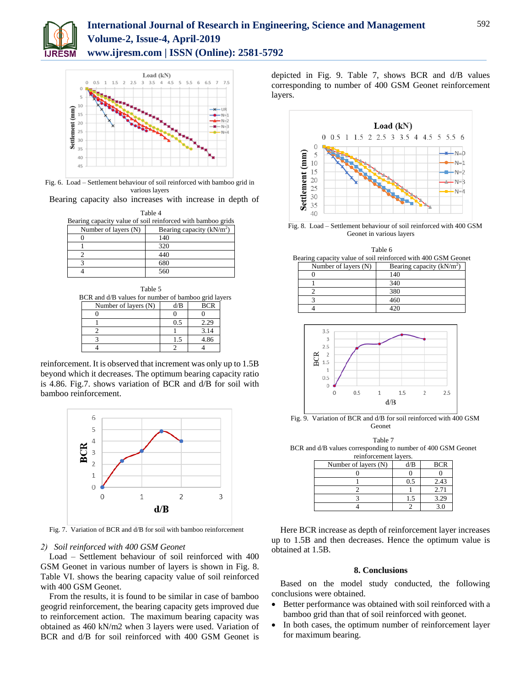



Fig. 6. Load – Settlement behaviour of soil reinforced with bamboo grid in various layers

Bearing capacity also increases with increase in depth of

| Table 4                                                     |                            |  |  |
|-------------------------------------------------------------|----------------------------|--|--|
| Bearing capacity value of soil reinforced with bamboo grids |                            |  |  |
| Number of layers (N)                                        | Bearing capacity $(kN/m2)$ |  |  |
|                                                             | 140                        |  |  |
|                                                             | 320                        |  |  |
|                                                             | 440                        |  |  |
|                                                             | 680                        |  |  |
|                                                             | 560                        |  |  |

| Table 5                                             |     |            |  |
|-----------------------------------------------------|-----|------------|--|
| BCR and d/B values for number of bamboo grid layers |     |            |  |
| Number of layers (N)                                | d/B | <b>BCR</b> |  |
|                                                     |     |            |  |
|                                                     | 0.5 | 2.29       |  |
|                                                     |     | 3.14       |  |
|                                                     | 1.5 | 4.86       |  |
|                                                     |     |            |  |

reinforcement. It is observed that increment was only up to 1.5B beyond which it decreases. The optimum bearing capacity ratio is 4.86. Fig.7. shows variation of BCR and d/B for soil with bamboo reinforcement.



Fig. 7. Variation of BCR and d/B for soil with bamboo reinforcement

### *2) Soil reinforced with 400 GSM Geonet*

Load – Settlement behaviour of soil reinforced with 400 GSM Geonet in various number of layers is shown in Fig. 8. Table VI. shows the bearing capacity value of soil reinforced with 400 GSM Geonet.

From the results, it is found to be similar in case of bamboo geogrid reinforcement, the bearing capacity gets improved due to reinforcement action. The maximum bearing capacity was obtained as 460 kN/m2 when 3 layers were used. Variation of BCR and d/B for soil reinforced with 400 GSM Geonet is depicted in Fig. 9. Table 7, shows BCR and d/B values corresponding to number of 400 GSM Geonet reinforcement layers.



Fig. 8. Load – Settlement behaviour of soil reinforced with 400 GSM Geonet in various layers

Table 6 Bearing capacity value of soil reinforced with 400 GSM Geonet

| Number of layers (N) | Bearing capacity $(kN/m2)$ |
|----------------------|----------------------------|
|                      | 140                        |
|                      | 340                        |
|                      | 380                        |
|                      | 460                        |
|                      |                            |



Fig. 9. Variation of BCR and d/B for soil reinforced with 400 GSM Geonet

Table 7

BCR and d/B values corresponding to number of 400 GSM Geonet reinforcement layers.

| Number of layers (N) | d/B | <b>BCR</b> |
|----------------------|-----|------------|
|                      |     |            |
|                      | 0.5 | 2.43       |
|                      |     | 2.71       |
|                      | Ŀ.  | 3.29       |
|                      |     |            |

Here BCR increase as depth of reinforcement layer increases up to 1.5B and then decreases. Hence the optimum value is obtained at 1.5B.

## **8. Conclusions**

Based on the model study conducted, the following conclusions were obtained.

- Better performance was obtained with soil reinforced with a bamboo grid than that of soil reinforced with geonet.
- In both cases, the optimum number of reinforcement layer for maximum bearing.